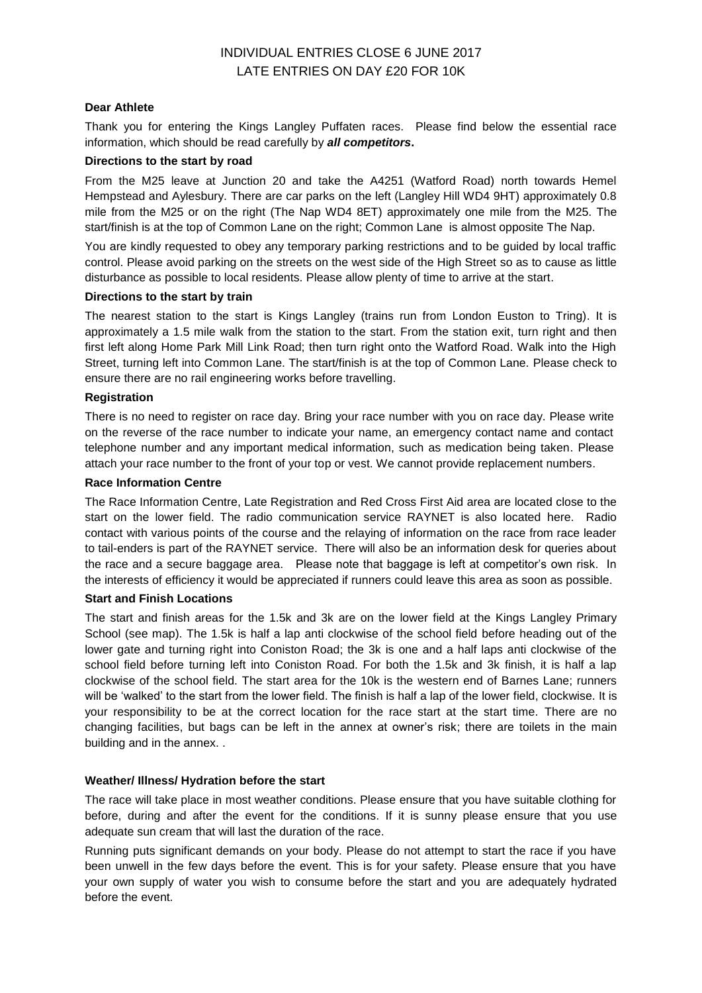### **Dear Athlete**

Thank you for entering the Kings Langley Puffaten races. Please find below the essential race information, which should be read carefully by *all competitors***.**

#### **Directions to the start by road**

From the M25 leave at Junction 20 and take the A4251 (Watford Road) north towards Hemel Hempstead and Aylesbury. There are car parks on the left (Langley Hill WD4 9HT) approximately 0.8 mile from the M25 or on the right (The Nap WD4 8ET) approximately one mile from the M25. The start/finish is at the top of Common Lane on the right; Common Lane is almost opposite The Nap.

You are kindly requested to obey any temporary parking restrictions and to be guided by local traffic control. Please avoid parking on the streets on the west side of the High Street so as to cause as little disturbance as possible to local residents. Please allow plenty of time to arrive at the start.

### **Directions to the start by train**

The nearest station to the start is Kings Langley (trains run from London Euston to Tring). It is approximately a 1.5 mile walk from the station to the start. From the station exit, turn right and then first left along Home Park Mill Link Road; then turn right onto the Watford Road. Walk into the High Street, turning left into Common Lane. The start/finish is at the top of Common Lane. Please check to ensure there are no rail engineering works before travelling.

### **Registration**

There is no need to register on race day. Bring your race number with you on race day. Please write on the reverse of the race number to indicate your name, an emergency contact name and contact telephone number and any important medical information, such as medication being taken. Please attach your race number to the front of your top or vest. We cannot provide replacement numbers.

#### **Race Information Centre**

The Race Information Centre, Late Registration and Red Cross First Aid area are located close to the start on the lower field. The radio communication service RAYNET is also located here. Radio contact with various points of the course and the relaying of information on the race from race leader to tail-enders is part of the RAYNET service. There will also be an information desk for queries about the race and a secure baggage area. Please note that baggage is left at competitor's own risk. In the interests of efficiency it would be appreciated if runners could leave this area as soon as possible.

#### **Start and Finish Locations**

The start and finish areas for the 1.5k and 3k are on the lower field at the Kings Langley Primary School (see map). The 1.5k is half a lap anti clockwise of the school field before heading out of the lower gate and turning right into Coniston Road; the 3k is one and a half laps anti clockwise of the school field before turning left into Coniston Road. For both the 1.5k and 3k finish, it is half a lap clockwise of the school field. The start area for the 10k is the western end of Barnes Lane; runners will be 'walked' to the start from the lower field. The finish is half a lap of the lower field, clockwise. It is your responsibility to be at the correct location for the race start at the start time. There are no changing facilities, but bags can be left in the annex at owner's risk; there are toilets in the main building and in the annex. .

## **Weather/ Illness/ Hydration before the start**

The race will take place in most weather conditions. Please ensure that you have suitable clothing for before, during and after the event for the conditions. If it is sunny please ensure that you use adequate sun cream that will last the duration of the race.

Running puts significant demands on your body. Please do not attempt to start the race if you have been unwell in the few days before the event. This is for your safety. Please ensure that you have your own supply of water you wish to consume before the start and you are adequately hydrated before the event.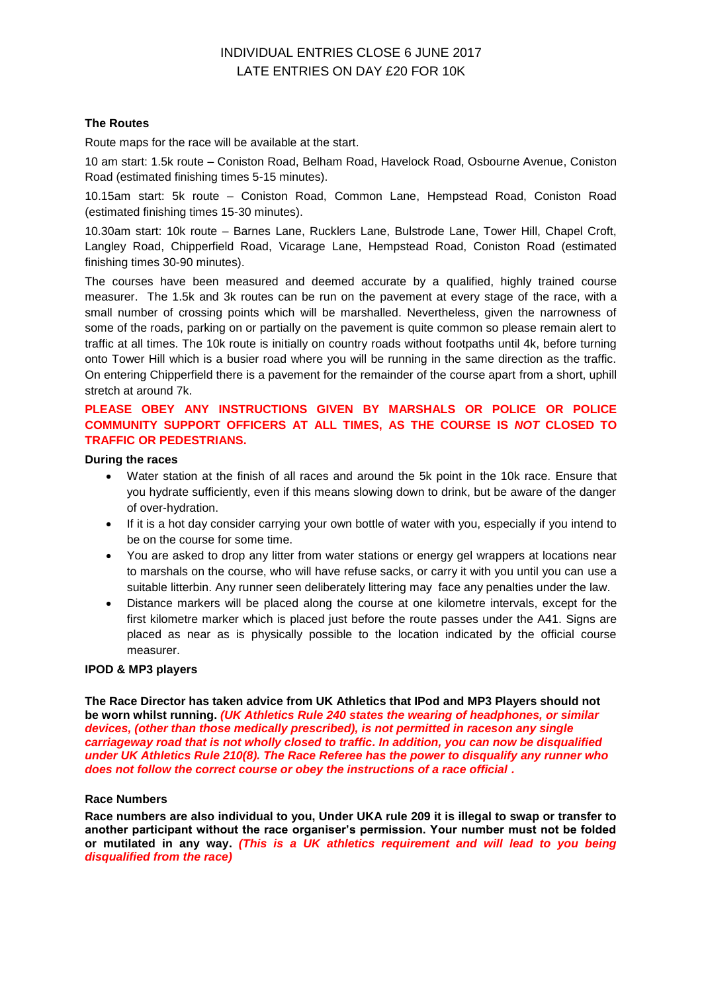## **The Routes**

Route maps for the race will be available at the start.

10 am start: 1.5k route – Coniston Road, Belham Road, Havelock Road, Osbourne Avenue, Coniston Road (estimated finishing times 5-15 minutes).

10.15am start: 5k route – Coniston Road, Common Lane, Hempstead Road, Coniston Road (estimated finishing times 15-30 minutes).

10.30am start: 10k route – Barnes Lane, Rucklers Lane, Bulstrode Lane, Tower Hill, Chapel Croft, Langley Road, Chipperfield Road, Vicarage Lane, Hempstead Road, Coniston Road (estimated finishing times 30-90 minutes).

The courses have been measured and deemed accurate by a qualified, highly trained course measurer. The 1.5k and 3k routes can be run on the pavement at every stage of the race, with a small number of crossing points which will be marshalled. Nevertheless, given the narrowness of some of the roads, parking on or partially on the pavement is quite common so please remain alert to traffic at all times. The 10k route is initially on country roads without footpaths until 4k, before turning onto Tower Hill which is a busier road where you will be running in the same direction as the traffic. On entering Chipperfield there is a pavement for the remainder of the course apart from a short, uphill stretch at around 7k.

## **PLEASE OBEY ANY INSTRUCTIONS GIVEN BY MARSHALS OR POLICE OR POLICE COMMUNITY SUPPORT OFFICERS AT ALL TIMES, AS THE COURSE IS** *NOT* **CLOSED TO TRAFFIC OR PEDESTRIANS.**

#### **During the races**

- Water station at the finish of all races and around the 5k point in the 10k race. Ensure that you hydrate sufficiently, even if this means slowing down to drink, but be aware of the danger of over-hydration.
- If it is a hot day consider carrying your own bottle of water with you, especially if you intend to be on the course for some time.
- You are asked to drop any litter from water stations or energy gel wrappers at locations near to marshals on the course, who will have refuse sacks, or carry it with you until you can use a suitable litterbin. Any runner seen deliberately littering may face any penalties under the law.
- Distance markers will be placed along the course at one kilometre intervals, except for the first kilometre marker which is placed just before the route passes under the A41. Signs are placed as near as is physically possible to the location indicated by the official course measurer.

#### **IPOD & MP3 players**

**The Race Director has taken advice from UK Athletics that IPod and MP3 Players should not be worn whilst running.** *(UK Athletics Rule 240 states the wearing of headphones, or similar devices, (other than those medically prescribed), is not permitted in raceson any single carriageway road that is not wholly closed to traffic. In addition, you can now be disqualified under UK Athletics Rule 210(8). The Race Referee has the power to disqualify any runner who does not follow the correct course or obey the instructions of a race official .*

#### **Race Numbers**

**Race numbers are also individual to you, Under UKA rule 209 it is illegal to swap or transfer to another participant without the race organiser's permission. Your number must not be folded or mutilated in any way.** *(This is a UK athletics requirement and will lead to you being disqualified from the race)*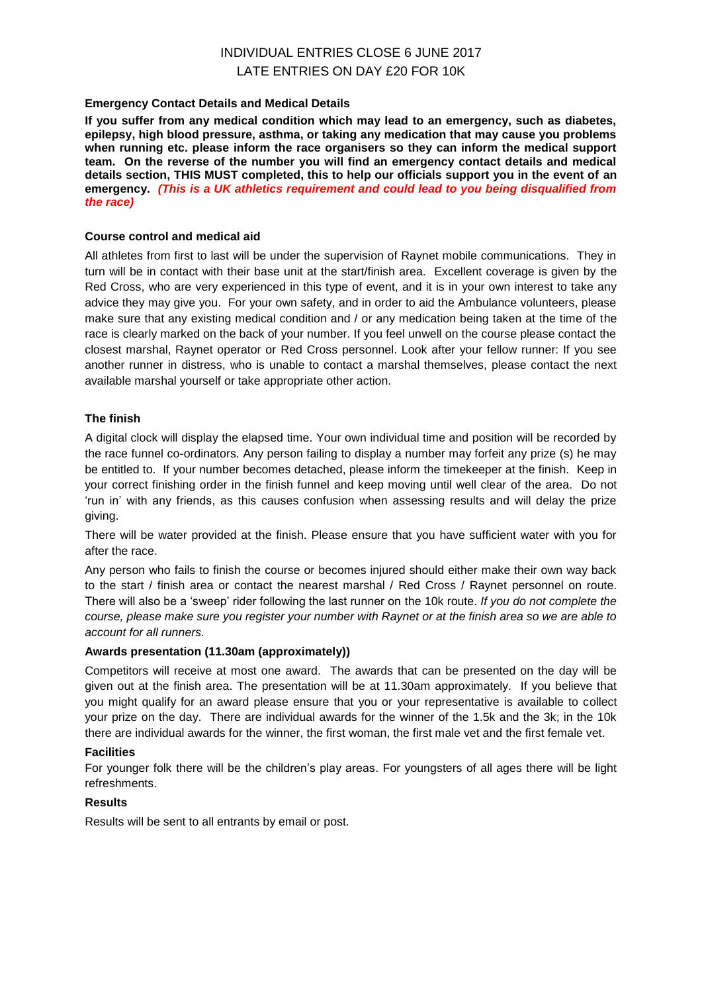## **Emergency Contact Details and Medical Details**

**If you suffer from any medical condition which may lead to an emergency, such as diabetes, epilepsy, high blood pressure, asthma, or taking any medication that may cause you problems when running etc. please inform the race organisers so they can inform the medical support team. On the reverse of the number you will find an emergency contact details and medical details section, THIS MUST completed, this to help our officials support you in the event of an emergency.** *(This is a UK athletics requirement and could lead to you being disqualified from the race)*

## **Course control and medical aid**

All athletes from first to last will be under the supervision of Raynet mobile communications. They in turn will be in contact with their base unit at the start/finish area. Excellent coverage is given by the Red Cross, who are very experienced in this type of event, and it is in your own interest to take any advice they may give you. For your own safety, and in order to aid the Ambulance volunteers, please make sure that any existing medical condition and / or any medication being taken at the time of the race is clearly marked on the back of your number. If you feel unwell on the course please contact the closest marshal, Raynet operator or Red Cross personnel. Look after your fellow runner: If you see another runner in distress, who is unable to contact a marshal themselves, please contact the next available marshal yourself or take appropriate other action.

## **The finish**

A digital clock will display the elapsed time. Your own individual time and position will be recorded by the race funnel co-ordinators. Any person failing to display a number may forfeit any prize (s) he may be entitled to. If your number becomes detached, please inform the timekeeper at the finish. Keep in your correct finishing order in the finish funnel and keep moving until well clear of the area. Do not 'run in' with any friends, as this causes confusion when assessing results and will delay the prize giving.

There will be water provided at the finish. Please ensure that you have sufficient water with you for after the race.

Any person who fails to finish the course or becomes injured should either make their own way back to the start / finish area or contact the nearest marshal / Red Cross / Raynet personnel on route. There will also be a 'sweep' rider following the last runner on the 10k route. *If you do not complete the course, please make sure you register your number with Raynet or at the finish area so we are able to account for all runners.*

## **Awards presentation (11.30am (approximately))**

Competitors will receive at most one award. The awards that can be presented on the day will be given out at the finish area. The presentation will be at 11.30am approximately. If you believe that you might qualify for an award please ensure that you or your representative is available to collect your prize on the day. There are individual awards for the winner of the 1.5k and the 3k; in the 10k there are individual awards for the winner, the first woman, the first male vet and the first female vet.

## **Facilities**

For younger folk there will be the children's play areas. For youngsters of all ages there will be light refreshments.

## **Results**

Results will be sent to all entrants by email or post.